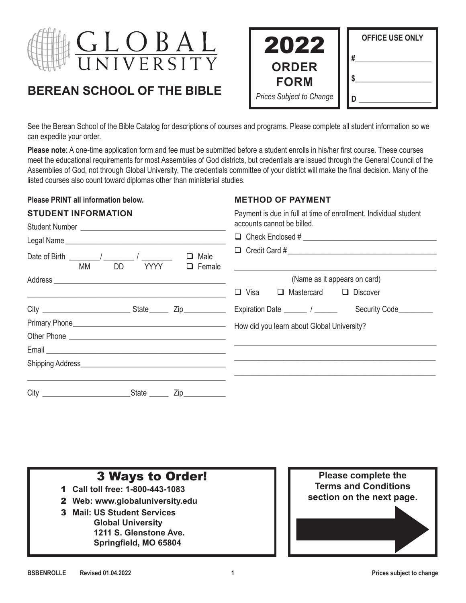

# **BEREAN SCHOOL OF THE BIBLE**

| 2022                            | <b>OFFICE USE ONLY</b> |
|---------------------------------|------------------------|
| <b>ORDER</b><br><b>FORM</b>     | #                      |
| <b>Prices Subject to Change</b> |                        |

See the Berean School of the Bible Catalog for descriptions of courses and programs. Please complete all student information so we can expedite your order.

**Please note**: A one-time application form and fee must be submitted before a student enrolls in his/her first course. These courses meet the educational requirements for most Assemblies of God districts, but credentials are issued through the General Council of the Assemblies of God, not through Global University. The credentials committee of your district will make the final decision. Many of the listed courses also count toward diplomas other than ministerial studies.

#### **Please PRINT all information below.**

Student Number \_\_\_\_\_\_\_\_\_\_\_\_\_\_\_\_\_\_\_\_\_\_\_\_\_\_\_\_\_\_\_\_\_\_\_\_\_\_

**STUDENT INFORMATION**

#### **METHOD OF PAYMENT**

Payment is due in full at time of enrollment. Individual student accounts cannot be billed.

| Date of Birth ________/ _________ / _________<br><b>MM</b> | DD | $\Box$ Male<br>YYYY □ Female  | <u> 1989 - Jan Samuel Barbara, margaret eta biztanleria (h. 1982).</u> |
|------------------------------------------------------------|----|-------------------------------|------------------------------------------------------------------------|
|                                                            |    |                               | (Name as it appears on card)                                           |
|                                                            |    |                               | Visa $\Box$ Mastercard $\Box$ Discover<br>$\Box$                       |
|                                                            |    |                               | Expiration Date _______ / _______ Security Code_________               |
|                                                            |    |                               | How did you learn about Global University?                             |
|                                                            |    |                               |                                                                        |
|                                                            |    |                               |                                                                        |
|                                                            |    |                               |                                                                        |
|                                                            |    |                               |                                                                        |
|                                                            |    | State _______ Zip____________ |                                                                        |

#### **3 Ways to Order! Please complete the Terms and Conditions section on the next page.** 1 **Call toll free: 1-800-443-1083** 2 **Web: www.globaluniversity.edu** 3 **Mail: US Student Services Global University 1211 S. Glenstone Ave. Springfield, MO 65804**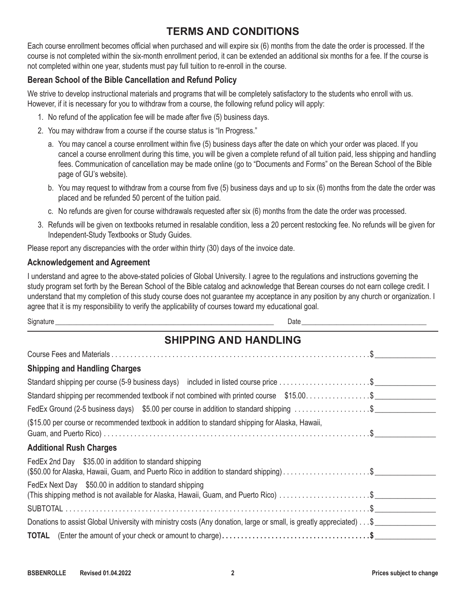# **TERMS AND CONDITIONS**

Each course enrollment becomes official when purchased and will expire six (6) months from the date the order is processed. If the course is not completed within the six-month enrollment period, it can be extended an additional six months for a fee. If the course is not completed within one year, students must pay full tuition to re-enroll in the course.

### **Berean School of the Bible Cancellation and Refund Policy**

We strive to develop instructional materials and programs that will be completely satisfactory to the students who enroll with us. However, if it is necessary for you to withdraw from a course, the following refund policy will apply:

- 1. No refund of the application fee will be made after five (5) business days.
- 2. You may withdraw from a course if the course status is "In Progress."
	- a. You may cancel a course enrollment within five (5) business days after the date on which your order was placed. If you cancel a course enrollment during this time, you will be given a complete refund of all tuition paid, less shipping and handling fees. Communication of cancellation may be made online (go to "Documents and Forms" on the Berean School of the Bible page of GU's website).
	- b. You may request to withdraw from a course from five (5) business days and up to six (6) months from the date the order was placed and be refunded 50 percent of the tuition paid.
	- c. No refunds are given for course withdrawals requested after six (6) months from the date the order was processed.
- 3. Refunds will be given on textbooks returned in resalable condition, less a 20 percent restocking fee. No refunds will be given for Independent-Study Textbooks or Study Guides.

Please report any discrepancies with the order within thirty (30) days of the invoice date.

#### **Acknowledgement and Agreement**

I understand and agree to the above-stated policies of Global University. I agree to the regulations and instructions governing the study program set forth by the Berean School of the Bible catalog and acknowledge that Berean courses do not earn college credit. I understand that my completion of this study course does not guarantee my acceptance in any position by any church or organization. I agree that it is my responsibility to verify the applicability of courses toward my educational goal.

Signature \_\_\_\_\_\_\_\_\_\_\_\_\_\_\_\_\_\_\_\_\_\_\_\_\_\_\_\_\_\_\_\_\_\_\_\_\_\_\_\_\_\_\_\_\_\_\_\_\_\_\_\_\_\_\_\_\_\_\_\_\_\_\_ Date\_\_\_\_\_\_\_\_\_\_\_\_\_\_\_\_\_\_\_\_\_\_\_\_\_\_\_\_\_\_\_\_\_\_\_\_

| <b>SHIPPING AND HANDLING</b>                                                                                                                     |  |  |  |  |  |  |
|--------------------------------------------------------------------------------------------------------------------------------------------------|--|--|--|--|--|--|
|                                                                                                                                                  |  |  |  |  |  |  |
| <b>Shipping and Handling Charges</b>                                                                                                             |  |  |  |  |  |  |
| Standard shipping per course (5-9 business days) included in listed course price \$                                                              |  |  |  |  |  |  |
| Standard shipping per recommended textbook if not combined with printed course \$15.00. \$                                                       |  |  |  |  |  |  |
| FedEx Ground (2-5 business days) \$5.00 per course in addition to standard shipping \$                                                           |  |  |  |  |  |  |
| (\$15.00 per course or recommended textbook in addition to standard shipping for Alaska, Hawaii,                                                 |  |  |  |  |  |  |
| <b>Additional Rush Charges</b>                                                                                                                   |  |  |  |  |  |  |
| FedEx 2nd Day \$35.00 in addition to standard shipping<br>(\$50.00 for Alaska, Hawaii, Guam, and Puerto Rico in addition to standard shipping)\$ |  |  |  |  |  |  |
| FedEx Next Day \$50.00 in addition to standard shipping<br>(This shipping method is not available for Alaska, Hawaii, Guam, and Puerto Rico) \$  |  |  |  |  |  |  |
|                                                                                                                                                  |  |  |  |  |  |  |
| Donations to assist Global University with ministry costs (Any donation, large or small, is greatly appreciated) \$                              |  |  |  |  |  |  |
|                                                                                                                                                  |  |  |  |  |  |  |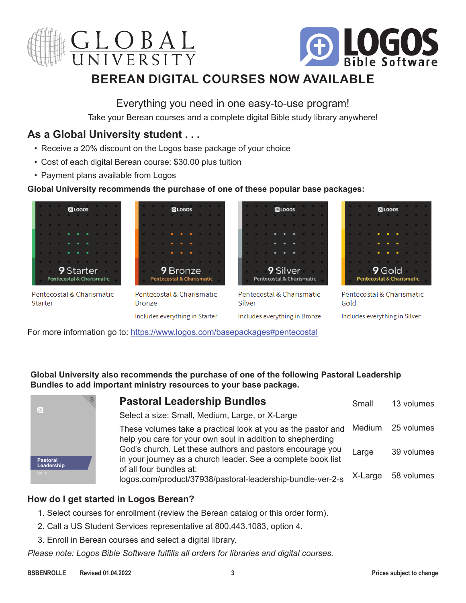



# **BEREAN DIGITAL COURSES NOW AVAILABLE**

# Everything you need in one easy-to-use program!

Take your Berean courses and a complete digital Bible study library anywhere!

# **As a Global University student . . .**

- Receive a 20% discount on the Logos base package of your choice
- Cost of each digital Berean course: \$30.00 plus tuition
- Payment plans available from Logos

#### **Global University recommends the purchase of one of these popular base packages:**



For more information go to: <https://www.logos.com/basepackages#pentecostal>

**Global University also recommends the purchase of one of the following Pastoral Leadership Bundles to add important ministry resources to your base package.**

| Æ                             |  |
|-------------------------------|--|
| <b>Pastoral</b><br>Leadership |  |
| Ver. 2                        |  |

| <b>Pastoral Leadership Bundles</b>                                                                                         | Small | 13 volumes         |
|----------------------------------------------------------------------------------------------------------------------------|-------|--------------------|
| Select a size: Small, Medium, Large, or X-Large                                                                            |       |                    |
| These volumes take a practical look at you as the pastor and<br>help you care for your own soul in addition to shepherding |       | Medium 25 volumes  |
| God's church. Let these authors and pastors encourage you<br>in your journey as a church leader. See a complete book list  | Large | 39 volumes         |
| of all four bundles at:<br>logos.com/product/37938/pastoral-leadership-bundle-ver-2-s                                      |       | X-Large 58 volumes |

## **How do I get started in Logos Berean?**

- 1. Select courses for enrollment (review the Berean catalog or this order form).
- 2. Call a US Student Services representative at 800.443.1083, option 4.
- 3. Enroll in Berean courses and select a digital library.

*Please note: Logos Bible Software fulfills all orders for libraries and digital courses.*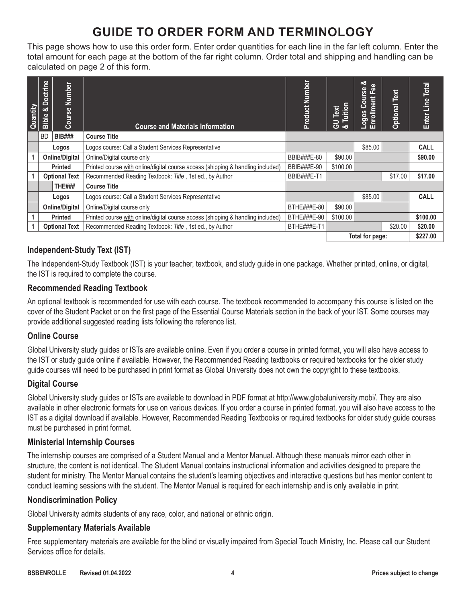# **GUIDE TO ORDER FORM AND TERMINOLOGY**

This page shows how to use this order form. Enter order quantities for each line in the far left column. Enter the total amount for each page at the bottom of the far right column. Order total and shipping and handling can be calculated on page 2 of this form.

| Quantity | <b>Bible &amp; Doctrine</b> | Number<br>Course      | <b>Course and Materials Information</b>                                         | Product Number     | Tuition<br><b>GU</b> Text<br>න් | න්<br>Fee<br>Course<br>Enrollment<br>Logos | Text<br>Optional | Total<br>Enter Line |
|----------|-----------------------------|-----------------------|---------------------------------------------------------------------------------|--------------------|---------------------------------|--------------------------------------------|------------------|---------------------|
|          | <b>BD</b>                   | <b>BIB###</b>         | <b>Course Title</b>                                                             |                    |                                 |                                            |                  |                     |
|          |                             | Logos                 | Logos course: Call a Student Services Representative                            |                    |                                 | \$85.00                                    |                  | <b>CALL</b>         |
|          |                             | <b>Online/Digital</b> | Online/Digital course only                                                      | BBIB###E-80        | \$90.00                         |                                            |                  | \$90.00             |
|          |                             | <b>Printed</b>        | Printed course with online/digital course access (shipping & handling included) | BBIB###E-90        | \$100.00                        |                                            |                  |                     |
|          |                             | <b>Optional Text</b>  | Recommended Reading Textbook: Title, 1st ed., by Author                         | BBIB###E-T1        |                                 |                                            | \$17.00          | \$17.00             |
|          |                             | <b>THE###</b>         | <b>Course Title</b>                                                             |                    |                                 |                                            |                  |                     |
|          |                             | Logos                 | Logos course: Call a Student Services Representative                            |                    |                                 | \$85.00                                    |                  | <b>CALL</b>         |
|          |                             | <b>Online/Digital</b> | Online/Digital course only                                                      | BTHE###E-80        | \$90.00                         |                                            |                  |                     |
|          |                             | <b>Printed</b>        | Printed course with online/digital course access (shipping & handling included) | <b>BTHE###E-90</b> | \$100.00                        |                                            |                  | \$100.00            |
|          |                             | <b>Optional Text</b>  | Recommended Reading Textbook: Title, 1st ed., by Author                         | BTHE###E-T1        |                                 |                                            | \$20.00          | \$20.00             |
|          |                             |                       |                                                                                 |                    |                                 | Total for page:                            |                  | \$227.00            |

## **Independent-Study Text (IST)**

The Independent-Study Textbook (IST) is your teacher, textbook, and study guide in one package. Whether printed, online, or digital, the IST is required to complete the course.

#### **Recommended Reading Textbook**

An optional textbook is recommended for use with each course. The textbook recommended to accompany this course is listed on the cover of the Student Packet or on the first page of the Essential Course Materials section in the back of your IST. Some courses may provide additional suggested reading lists following the reference list.

## **Online Course**

Global University study guides or ISTs are available online. Even if you order a course in printed format, you will also have access to the IST or study guide online if available. However, the Recommended Reading textbooks or required textbooks for the older study guide courses will need to be purchased in print format as Global University does not own the copyright to these textbooks.

## **Digital Course**

Global University study guides or ISTs are available to download in PDF format at <http://www.globaluniversity.mobi/>. They are also available in other electronic formats for use on various devices. If you order a course in printed format, you will also have access to the IST as a digital download if available. However, Recommended Reading Textbooks or required textbooks for older study guide courses must be purchased in print format.

#### **Ministerial Internship Courses**

The internship courses are comprised of a Student Manual and a Mentor Manual. Although these manuals mirror each other in structure, the content is not identical. The Student Manual contains instructional information and activities designed to prepare the student for ministry. The Mentor Manual contains the student's learning objectives and interactive questions but has mentor content to conduct learning sessions with the student. The Mentor Manual is required for each internship and is only available in print.

#### **Nondiscrimination Policy**

Global University admits students of any race, color, and national or ethnic origin.

#### **Supplementary Materials Available**

Free supplementary materials are available for the blind or visually impaired from Special Touch Ministry, Inc. Please call our Student Services office for details.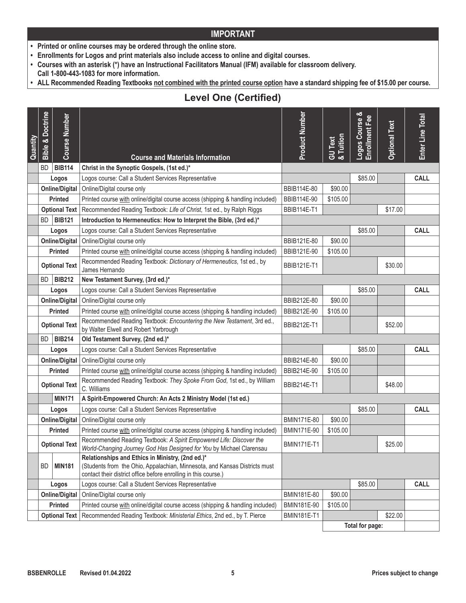- **• Printed or online courses may be ordered through the online store.**
- **• Enrollments for Logos and print materials also include access to online and digital courses.**
- **• Courses with an asterisk (\*) have an Instructional Facilitators Manual (IFM) available for classroom delivery.**
- **Call 1-800-443-1083 for more information.**
- ALL Recommended Reading Textbooks not combined with the printed course option have a standard shipping fee of \$15.00 per course.

# **Level One (Certified)**

| Quantity                                                                                                                                                                                                                        | <b>Bible &amp; Doctrine</b> | <b>Course Number</b>  | <b>Course and Materials Information</b>                                                                                                     | Product Number     | GU Text<br>& Tuition | Logos Course & | <b>Optional Text</b> | Enter Line Total |
|---------------------------------------------------------------------------------------------------------------------------------------------------------------------------------------------------------------------------------|-----------------------------|-----------------------|---------------------------------------------------------------------------------------------------------------------------------------------|--------------------|----------------------|----------------|----------------------|------------------|
|                                                                                                                                                                                                                                 | <b>BD</b>                   | <b>BIB114</b>         | Christ in the Synoptic Gospels, (1st ed.)*                                                                                                  |                    |                      |                |                      |                  |
|                                                                                                                                                                                                                                 |                             | Logos                 | Logos course: Call a Student Services Representative                                                                                        |                    |                      | \$85.00        |                      | <b>CALL</b>      |
|                                                                                                                                                                                                                                 |                             | <b>Online/Digital</b> | Online/Digital course only                                                                                                                  | BBIB114E-80        | \$90.00              |                |                      |                  |
|                                                                                                                                                                                                                                 |                             | Printed               | Printed course with online/digital course access (shipping & handling included)                                                             | BBIB114E-90        | \$105.00             |                |                      |                  |
|                                                                                                                                                                                                                                 |                             | <b>Optional Text</b>  | Recommended Reading Textbook: Life of Christ, 1st ed., by Ralph Riggs                                                                       | <b>BBIB114E-T1</b> |                      |                | \$17.00              |                  |
|                                                                                                                                                                                                                                 | BD                          | <b>BIB121</b>         | Introduction to Hermeneutics: How to Interpret the Bible, (3rd ed.)*                                                                        |                    |                      |                |                      |                  |
|                                                                                                                                                                                                                                 |                             | Logos                 | Logos course: Call a Student Services Representative                                                                                        |                    |                      | \$85.00        |                      | <b>CALL</b>      |
|                                                                                                                                                                                                                                 |                             | <b>Online/Digital</b> | Online/Digital course only                                                                                                                  | BBIB121E-80        | \$90.00              |                |                      |                  |
|                                                                                                                                                                                                                                 |                             | Printed               | Printed course with online/digital course access (shipping & handling included)                                                             | BBIB121E-90        | \$105.00             |                |                      |                  |
|                                                                                                                                                                                                                                 |                             | <b>Optional Text</b>  | Recommended Reading Textbook: Dictionary of Hermeneutics, 1st ed., by<br>James Hernando                                                     | <b>BBIB121E-T1</b> |                      |                | \$30.00              |                  |
|                                                                                                                                                                                                                                 | BD                          | <b>BIB212</b>         | New Testament Survey, (3rd ed.)*                                                                                                            |                    |                      |                |                      |                  |
|                                                                                                                                                                                                                                 |                             | Logos                 | Logos course: Call a Student Services Representative                                                                                        |                    |                      | \$85.00        |                      | <b>CALL</b>      |
|                                                                                                                                                                                                                                 |                             | <b>Online/Digital</b> | Online/Digital course only                                                                                                                  | BBIB212E-80        | \$90.00              |                |                      |                  |
|                                                                                                                                                                                                                                 |                             | Printed               | Printed course with online/digital course access (shipping & handling included)                                                             | BBIB212E-90        | \$105.00             |                |                      |                  |
|                                                                                                                                                                                                                                 |                             | <b>Optional Text</b>  | Recommended Reading Textbook: Encountering the New Testament, 3rd ed.,<br>by Walter Elwell and Robert Yarbrough                             | <b>BBIB212E-T1</b> |                      |                | \$52.00              |                  |
|                                                                                                                                                                                                                                 | BD                          | <b>BIB214</b>         | Old Testament Survey, (2nd ed.)*                                                                                                            |                    |                      |                |                      |                  |
|                                                                                                                                                                                                                                 |                             | Logos                 | Logos course: Call a Student Services Representative                                                                                        |                    |                      | \$85.00        |                      | <b>CALL</b>      |
|                                                                                                                                                                                                                                 |                             | <b>Online/Digital</b> | Online/Digital course only                                                                                                                  | BBIB214E-80        | \$90.00              |                |                      |                  |
|                                                                                                                                                                                                                                 |                             | Printed               | Printed course with online/digital course access (shipping & handling included)                                                             | BBIB214E-90        | \$105.00             |                |                      |                  |
|                                                                                                                                                                                                                                 |                             | <b>Optional Text</b>  | Recommended Reading Textbook: They Spoke From God, 1st ed., by William<br>C. Williams                                                       | <b>BBIB214E-T1</b> |                      |                | \$48.00              |                  |
|                                                                                                                                                                                                                                 |                             | <b>MIN171</b>         | A Spirit-Empowered Church: An Acts 2 Ministry Model (1st ed.)                                                                               |                    |                      |                |                      |                  |
|                                                                                                                                                                                                                                 |                             | Logos                 | Logos course: Call a Student Services Representative                                                                                        |                    |                      | \$85.00        |                      | <b>CALL</b>      |
|                                                                                                                                                                                                                                 |                             | <b>Online/Digital</b> | Online/Digital course only                                                                                                                  | BMIN171E-80        | \$90.00              |                |                      |                  |
|                                                                                                                                                                                                                                 |                             | <b>Printed</b>        | Printed course with online/digital course access (shipping & handling included)                                                             | BMIN171E-90        | \$105.00             |                |                      |                  |
|                                                                                                                                                                                                                                 |                             | <b>Optional Text</b>  | Recommended Reading Textbook: A Spirit Empowered Life: Discover the<br>World-Changing Journey God Has Designed for You by Michael Clarensau | <b>BMIN171E-T1</b> |                      |                | \$25.00              |                  |
| Relationships and Ethics in Ministry, (2nd ed.)*<br>(Students from the Ohio, Appalachian, Minnesota, and Kansas Districts must<br><b>BD</b><br><b>MIN181</b><br>contact their district office before enrolling in this course.) |                             |                       |                                                                                                                                             |                    |                      |                |                      |                  |
|                                                                                                                                                                                                                                 |                             | Logos                 | Logos course: Call a Student Services Representative                                                                                        |                    |                      | \$85.00        |                      | <b>CALL</b>      |
|                                                                                                                                                                                                                                 |                             | <b>Online/Digital</b> | Online/Digital course only                                                                                                                  | BMIN181E-80        | \$90.00              |                |                      |                  |
|                                                                                                                                                                                                                                 |                             | Printed               | Printed course with online/digital course access (shipping & handling included)                                                             | BMIN181E-90        | \$105.00             |                |                      |                  |
|                                                                                                                                                                                                                                 |                             | <b>Optional Text</b>  | Recommended Reading Textbook: Ministerial Ethics, 2nd ed., by T. Pierce                                                                     | <b>BMIN181E-T1</b> |                      |                | \$22.00              |                  |
|                                                                                                                                                                                                                                 |                             |                       |                                                                                                                                             |                    | Total for page:      |                |                      |                  |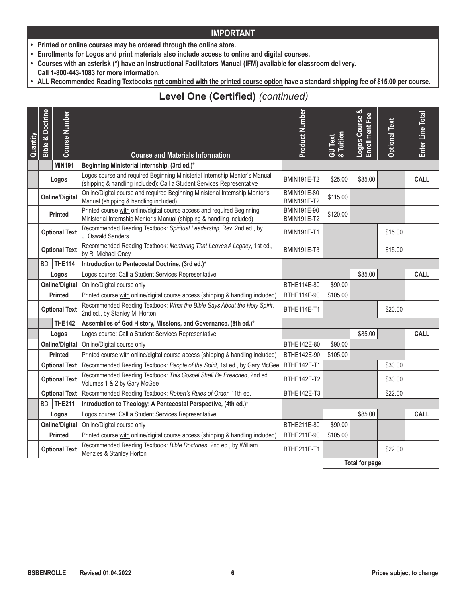- **• Printed or online courses may be ordered through the online store.**
- **• Enrollments for Logos and print materials also include access to online and digital courses.**
- **• Courses with an asterisk (\*) have an Instructional Facilitators Manual (IFM) available for classroom delivery.**
- **Call 1-800-443-1083 for more information.**
- **• ALL Recommended Reading Textbooks not combined with the printed course option have a standard shipping fee of \$15.00 per course.**

# **Level One (Certified)** *(continued)*

| Quantity | <b>Bible &amp; Doctrine</b> | <b>Course Number</b>  |                                                                                                                                                      | <b>Product Number</b>             | GU Text<br>& Tuition | Logos Course &<br>Enrollment Fee | <b>Optional Text</b> | Enter Line Total |
|----------|-----------------------------|-----------------------|------------------------------------------------------------------------------------------------------------------------------------------------------|-----------------------------------|----------------------|----------------------------------|----------------------|------------------|
|          |                             |                       | <b>Course and Materials Information</b>                                                                                                              |                                   |                      |                                  |                      |                  |
|          |                             | <b>MIN191</b>         | Beginning Ministerial Internship, (3rd ed.)*                                                                                                         |                                   |                      |                                  |                      |                  |
|          |                             | Logos                 | Logos course and required Beginning Ministerial Internship Mentor's Manual<br>(shipping & handling included): Call a Student Services Representative | <b>BMIN191E-T2</b>                | \$25.00              | \$85.00                          |                      | <b>CALL</b>      |
|          |                             | <b>Online/Digital</b> | Online/Digital course and required Beginning Ministerial Internship Mentor's<br>Manual (shipping & handling included)                                | BMIN191E-80<br><b>BMIN191E-T2</b> | \$115.00             |                                  |                      |                  |
|          |                             | <b>Printed</b>        | Printed course with online/digital course access and required Beginning<br>Ministerial Internship Mentor's Manual (shipping & handling included)     | BMIN191E-90<br><b>BMIN191E-T2</b> | \$120.00             |                                  |                      |                  |
|          |                             | <b>Optional Text</b>  | Recommended Reading Textbook: Spiritual Leadership, Rev. 2nd ed., by<br>J. Oswald Sanders                                                            | <b>BMIN191E-T1</b>                |                      |                                  | \$15.00              |                  |
|          |                             | <b>Optional Text</b>  | Recommended Reading Textbook: Mentoring That Leaves A Legacy, 1st ed.,<br>by R. Michael Oney                                                         | <b>BMIN191E-T3</b>                |                      |                                  | \$15.00              |                  |
|          | BD.                         | <b>THE114</b>         | Introduction to Pentecostal Doctrine, (3rd ed.)*                                                                                                     |                                   |                      |                                  |                      |                  |
|          |                             | Logos                 | Logos course: Call a Student Services Representative                                                                                                 |                                   |                      | \$85.00                          |                      | <b>CALL</b>      |
|          |                             | <b>Online/Digital</b> | Online/Digital course only                                                                                                                           | BTHE114E-80                       | \$90.00              |                                  |                      |                  |
|          |                             | <b>Printed</b>        | Printed course with online/digital course access (shipping & handling included)                                                                      | BTHE114E-90                       | \$105.00             |                                  |                      |                  |
|          |                             | <b>Optional Text</b>  | Recommended Reading Textbook: What the Bible Says About the Holy Spirit,<br>2nd ed., by Stanley M. Horton                                            | BTHE114E-T1                       |                      |                                  | \$20.00              |                  |
|          |                             | <b>THE142</b>         | Assemblies of God History, Missions, and Governance, (8th ed.)*                                                                                      |                                   |                      |                                  |                      |                  |
|          |                             | Logos                 | Logos course: Call a Student Services Representative                                                                                                 |                                   |                      | \$85.00                          |                      | <b>CALL</b>      |
|          |                             | <b>Online/Digital</b> | Online/Digital course only                                                                                                                           | BTHE142E-80                       | \$90.00              |                                  |                      |                  |
|          |                             | <b>Printed</b>        | Printed course with online/digital course access (shipping & handling included)                                                                      | BTHE142E-90                       | \$105.00             |                                  |                      |                  |
|          |                             | <b>Optional Text</b>  | Recommended Reading Textbook: People of the Spirit, 1st ed., by Gary McGee                                                                           | BTHE142E-T1                       |                      |                                  | \$30.00              |                  |
|          |                             | <b>Optional Text</b>  | Recommended Reading Textbook: This Gospel Shall Be Preached, 2nd ed.,<br>Volumes 1 & 2 by Gary McGee                                                 | BTHE142E-T2                       |                      |                                  | \$30.00              |                  |
|          |                             | <b>Optional Text</b>  | Recommended Reading Textbook: Robert's Rules of Order, 11th ed.                                                                                      | BTHE142E-T3                       |                      |                                  | \$22.00              |                  |
|          | BD.                         | <b>THE211</b>         | Introduction to Theology: A Pentecostal Perspective, (4th ed.)*                                                                                      |                                   |                      |                                  |                      |                  |
|          |                             | Logos                 | Logos course: Call a Student Services Representative                                                                                                 |                                   |                      | \$85.00                          |                      | <b>CALL</b>      |
|          |                             | <b>Online/Digital</b> | Online/Digital course only                                                                                                                           | BTHE211E-80                       | \$90.00              |                                  |                      |                  |
|          |                             | <b>Printed</b>        | Printed course with online/digital course access (shipping & handling included)                                                                      | BTHE211E-90                       | \$105.00             |                                  |                      |                  |
|          |                             | <b>Optional Text</b>  | Recommended Reading Textbook: Bible Doctrines, 2nd ed., by William<br>Menzies & Stanley Horton                                                       | BTHE211E-T1                       |                      |                                  | \$22.00              |                  |
|          |                             |                       |                                                                                                                                                      |                                   |                      | Total for page:                  |                      |                  |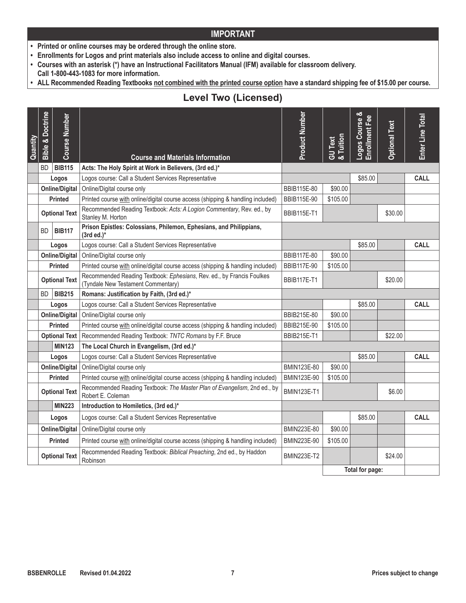- **• Printed or online courses may be ordered through the online store.**
- **• Enrollments for Logos and print materials also include access to online and digital courses.**
- **• Courses with an asterisk (\*) have an Instructional Facilitators Manual (IFM) available for classroom delivery.**
- **Call 1-800-443-1083 for more information.**
- ALL Recommended Reading Textbooks not combined with the printed course option have a standard shipping fee of \$15.00 per course.

# **Level Two (Licensed)**

| Quantity | <b>Bible &amp; Doctrine</b> | <b>Course Number</b>  | <b>Course and Materials Information</b>                                                                     | Product Number     | & Tuition<br><b>GU</b> Text | Logos Course &<br>Enrollment Fee | <b>Optional Text</b> | Enter Line Total |
|----------|-----------------------------|-----------------------|-------------------------------------------------------------------------------------------------------------|--------------------|-----------------------------|----------------------------------|----------------------|------------------|
|          | BD.                         | <b>BIB115</b>         | Acts: The Holy Spirit at Work in Believers, (3rd ed.)*                                                      |                    |                             |                                  |                      |                  |
|          |                             | Logos                 | Logos course: Call a Student Services Representative                                                        |                    |                             | \$85.00                          |                      | <b>CALL</b>      |
|          |                             | <b>Online/Digital</b> | Online/Digital course only                                                                                  | BBIB115E-80        | \$90.00                     |                                  |                      |                  |
|          |                             | <b>Printed</b>        | Printed course with online/digital course access (shipping & handling included)                             | BBIB115E-90        | \$105.00                    |                                  |                      |                  |
|          |                             | <b>Optional Text</b>  | Recommended Reading Textbook: Acts: A Logion Commentary, Rev. ed., by<br>Stanley M. Horton                  | <b>BBIB115E-T1</b> |                             |                                  | \$30.00              |                  |
|          | BD.                         | <b>BIB117</b>         | Prison Epistles: Colossians, Philemon, Ephesians, and Philippians,<br>$(3rd ed.)*$                          |                    |                             |                                  |                      |                  |
|          |                             | Logos                 | Logos course: Call a Student Services Representative                                                        |                    |                             | \$85.00                          |                      | <b>CALL</b>      |
|          |                             | <b>Online/Digital</b> | Online/Digital course only                                                                                  | <b>BBIB117E-80</b> | \$90.00                     |                                  |                      |                  |
|          |                             | <b>Printed</b>        | Printed course with online/digital course access (shipping & handling included)                             | <b>BBIB117E-90</b> | \$105.00                    |                                  |                      |                  |
|          |                             | <b>Optional Text</b>  | Recommended Reading Textbook: Ephesians, Rev. ed., by Francis Foulkes<br>(Tyndale New Testament Commentary) | <b>BBIB117E-T1</b> |                             |                                  | \$20.00              |                  |
|          | BD.                         | <b>BIB215</b>         | Romans: Justification by Faith, (3rd ed.)*                                                                  |                    |                             |                                  |                      |                  |
|          |                             | Logos                 | Logos course: Call a Student Services Representative                                                        |                    |                             | \$85.00                          |                      | <b>CALL</b>      |
|          |                             | <b>Online/Digital</b> | Online/Digital course only                                                                                  | BBIB215E-80        | \$90.00                     |                                  |                      |                  |
|          |                             | Printed               | Printed course with online/digital course access (shipping & handling included)                             | BBIB215E-90        | \$105.00                    |                                  |                      |                  |
|          |                             | <b>Optional Text</b>  | Recommended Reading Textbook: TNTC Romans by F.F. Bruce                                                     | <b>BBIB215E-T1</b> |                             |                                  | \$22.00              |                  |
|          |                             | <b>MIN123</b>         | The Local Church in Evangelism, (3rd ed.)*                                                                  |                    |                             |                                  |                      |                  |
|          |                             | Logos                 | Logos course: Call a Student Services Representative                                                        |                    |                             | \$85.00                          |                      | <b>CALL</b>      |
|          |                             | <b>Online/Digital</b> | Online/Digital course only                                                                                  | BMIN123E-80        | \$90.00                     |                                  |                      |                  |
|          |                             | <b>Printed</b>        | Printed course with online/digital course access (shipping & handling included)                             | BMIN123E-90        | \$105.00                    |                                  |                      |                  |
|          |                             | <b>Optional Text</b>  | Recommended Reading Textbook: The Master Plan of Evangelism, 2nd ed., by<br>Robert E. Coleman               | <b>BMIN123E-T1</b> |                             |                                  | \$6.00               |                  |
|          |                             | <b>MIN223</b>         | Introduction to Homiletics, (3rd ed.)*                                                                      |                    |                             |                                  |                      |                  |
|          |                             | Logos                 | Logos course: Call a Student Services Representative                                                        |                    |                             | \$85.00                          |                      | <b>CALL</b>      |
|          |                             | <b>Online/Digital</b> | Online/Digital course only                                                                                  | BMIN223E-80        | \$90.00                     |                                  |                      |                  |
|          |                             | <b>Printed</b>        | Printed course with online/digital course access (shipping & handling included)                             | BMIN223E-90        | \$105.00                    |                                  |                      |                  |
|          |                             | <b>Optional Text</b>  | Recommended Reading Textbook: Biblical Preaching, 2nd ed., by Haddon<br>Robinson                            | <b>BMIN223E-T2</b> |                             |                                  | \$24.00              |                  |
|          |                             |                       |                                                                                                             |                    |                             | Total for page:                  |                      |                  |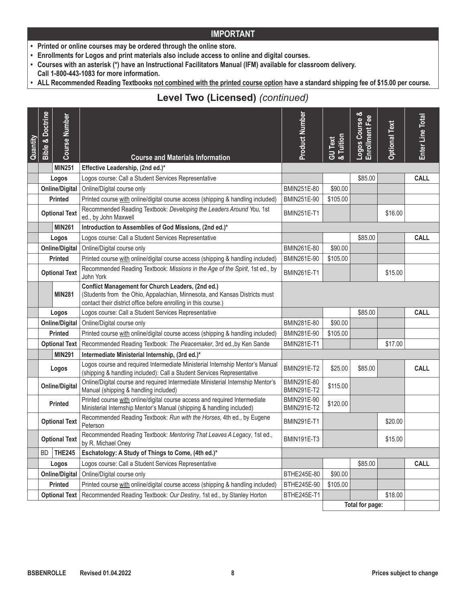- **• Printed or online courses may be ordered through the online store.**
- **• Enrollments for Logos and print materials also include access to online and digital courses.**
- **• Courses with an asterisk (\*) have an Instructional Facilitators Manual (IFM) available for classroom delivery.**
- **Call 1-800-443-1083 for more information.**
- ALL Recommended Reading Textbooks not combined with the printed course option have a standard shipping fee of \$15.00 per course.

# **Level Two (Licensed)** *(continued)*

| Quantity | <b>Bible &amp; Doctrine</b> | <b>Course Number</b>  | <b>Course and Materials Information</b>                                                                                                                                                                   | Product Number                    | GU Text<br>& Tuition | Logos Course &<br>Enrollment Fee | <b>Optional Text</b> | Enter Line Total |
|----------|-----------------------------|-----------------------|-----------------------------------------------------------------------------------------------------------------------------------------------------------------------------------------------------------|-----------------------------------|----------------------|----------------------------------|----------------------|------------------|
|          |                             | <b>MIN251</b>         | Effective Leadership, (2nd ed.)*                                                                                                                                                                          |                                   |                      |                                  |                      |                  |
|          |                             | Logos                 | Logos course: Call a Student Services Representative                                                                                                                                                      |                                   |                      | \$85.00                          |                      | <b>CALL</b>      |
|          |                             | <b>Online/Digital</b> | Online/Digital course only                                                                                                                                                                                | BMIN251E-80                       | \$90.00              |                                  |                      |                  |
|          |                             | <b>Printed</b>        | Printed course with online/digital course access (shipping & handling included)                                                                                                                           | BMIN251E-90                       | \$105.00             |                                  |                      |                  |
|          |                             | <b>Optional Text</b>  | Recommended Reading Textbook: Developing the Leaders Around You, 1st<br>ed., by John Maxwell                                                                                                              | <b>BMIN251E-T1</b>                |                      |                                  | \$16.00              |                  |
|          |                             | <b>MIN261</b>         | Introduction to Assemblies of God Missions, (2nd ed.)*                                                                                                                                                    |                                   |                      |                                  |                      |                  |
|          |                             | Logos                 | Logos course: Call a Student Services Representative                                                                                                                                                      |                                   |                      | \$85.00                          |                      | <b>CALL</b>      |
|          |                             | <b>Online/Digital</b> | Online/Digital course only                                                                                                                                                                                | BMIN261E-80                       | \$90.00              |                                  |                      |                  |
|          |                             | Printed               | Printed course with online/digital course access (shipping & handling included)                                                                                                                           | BMIN261E-90                       | \$105.00             |                                  |                      |                  |
|          |                             | <b>Optional Text</b>  | Recommended Reading Textbook: Missions in the Age of the Spirit, 1st ed., by<br>John York                                                                                                                 | <b>BMIN261E-T1</b>                |                      |                                  | \$15.00              |                  |
|          |                             | <b>MIN281</b>         | <b>Conflict Management for Church Leaders, (2nd ed.)</b><br>(Students from the Ohio, Appalachian, Minnesota, and Kansas Districts must<br>contact their district office before enrolling in this course.) |                                   |                      |                                  |                      |                  |
|          |                             | Logos                 | Logos course: Call a Student Services Representative                                                                                                                                                      |                                   |                      | \$85.00                          |                      | <b>CALL</b>      |
|          |                             | <b>Online/Digital</b> | Online/Digital course only                                                                                                                                                                                | BMIN281E-80                       | \$90.00              |                                  |                      |                  |
|          |                             | <b>Printed</b>        | Printed course with online/digital course access (shipping & handling included)                                                                                                                           | BMIN281E-90                       | \$105.00             |                                  |                      |                  |
|          |                             | <b>Optional Text</b>  | Recommended Reading Textbook: The Peacemaker, 3rd ed., by Ken Sande                                                                                                                                       | <b>BMIN281E-T1</b>                |                      |                                  | \$17.00              |                  |
|          |                             | <b>MIN291</b>         | Intermediate Ministerial Internship, (3rd ed.)*                                                                                                                                                           |                                   |                      |                                  |                      |                  |
|          |                             | Logos                 | Logos course and required Intermediate Ministerial Internship Mentor's Manual<br>(shipping & handling included): Call a Student Services Representative                                                   | <b>BMIN291E-T2</b>                | \$25.00              | \$85.00                          |                      | <b>CALL</b>      |
|          |                             | <b>Online/Digital</b> | Online/Digital course and required Intermediate Ministerial Internship Mentor's<br>Manual (shipping & handling included)                                                                                  | BMIN291E-80<br><b>BMIN291E-T2</b> | \$115.00             |                                  |                      |                  |
|          |                             | Printed               | Printed course with online/digital course access and required Intermediate<br>Ministerial Internship Mentor's Manual (shipping & handling included)                                                       | BMIN291E-90<br><b>BMIN291E-T2</b> | \$120.00             |                                  |                      |                  |
|          |                             | <b>Optional Text</b>  | Recommended Reading Textbook: Run with the Horses, 4th ed., by Eugene<br>Peterson                                                                                                                         | <b>BMIN291E-T1</b>                |                      |                                  | \$20.00              |                  |
|          |                             | <b>Optional Text</b>  | Recommended Reading Textbook: Mentoring That Leaves A Legacy, 1st ed.,<br>by R. Michael Oney                                                                                                              | <b>BMIN191E-T3</b>                |                      |                                  | \$15.00              |                  |
|          | BD                          | <b>THE245</b>         | Eschatology: A Study of Things to Come, (4th ed.)*                                                                                                                                                        |                                   |                      |                                  |                      |                  |
|          |                             | Logos                 | Logos course: Call a Student Services Representative                                                                                                                                                      |                                   |                      | \$85.00                          |                      | CALL             |
|          |                             | <b>Online/Digital</b> | Online/Digital course only                                                                                                                                                                                | BTHE245E-80                       | \$90.00              |                                  |                      |                  |
|          |                             | Printed               | Printed course with online/digital course access (shipping & handling included)                                                                                                                           | BTHE245E-90                       | \$105.00             |                                  |                      |                  |
|          |                             | <b>Optional Text</b>  | Recommended Reading Textbook: Our Destiny, 1st ed., by Stanley Horton                                                                                                                                     | BTHE245E-T1                       |                      |                                  | \$18.00              |                  |
|          |                             |                       |                                                                                                                                                                                                           |                                   |                      | Total for page:                  |                      |                  |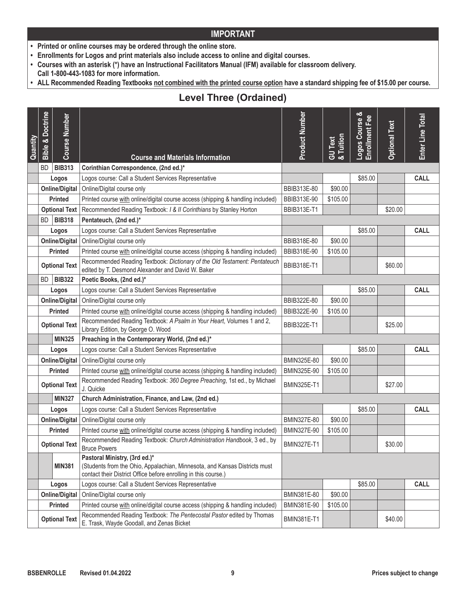- **• Printed or online courses may be ordered through the online store.**
- **• Enrollments for Logos and print materials also include access to online and digital courses.**
- **• Courses with an asterisk (\*) have an Instructional Facilitators Manual (IFM) available for classroom delivery.**
- **Call 1-800-443-1083 for more information.**
- **• ALL Recommended Reading Textbooks not combined with the printed course option have a standard shipping fee of \$15.00 per course.**

# **Level Three (Ordained)**

| Quantity | <b>Bible &amp; Doctrine</b> | <b>Course Number</b>  | <b>Course and Materials Information</b>                                                                                                                                        | Product Number     | GU Text<br>& Tuition | Logos Course & | <b>Optional Text</b> | Enter Line Total |
|----------|-----------------------------|-----------------------|--------------------------------------------------------------------------------------------------------------------------------------------------------------------------------|--------------------|----------------------|----------------|----------------------|------------------|
|          | BD.                         | <b>BIB313</b>         | Corinthian Correspondence, (2nd ed.)*                                                                                                                                          |                    |                      |                |                      |                  |
|          |                             | Logos                 | Logos course: Call a Student Services Representative                                                                                                                           |                    |                      | \$85.00        |                      | <b>CALL</b>      |
|          |                             | <b>Online/Digital</b> | Online/Digital course only                                                                                                                                                     | BBIB313E-80        | \$90.00              |                |                      |                  |
|          |                             | Printed               | Printed course with online/digital course access (shipping & handling included)                                                                                                | BBIB313E-90        | \$105.00             |                |                      |                  |
|          |                             | <b>Optional Text</b>  | Recommended Reading Textbook: I & II Corinthians by Stanley Horton                                                                                                             | <b>BBIB313E-T1</b> |                      |                | \$20.00              |                  |
|          | BD.                         | <b>BIB318</b>         | Pentateuch, (2nd ed.)*                                                                                                                                                         |                    |                      |                |                      |                  |
|          |                             | Logos                 | Logos course: Call a Student Services Representative                                                                                                                           |                    |                      | \$85.00        |                      | <b>CALL</b>      |
|          |                             | <b>Online/Digital</b> | Online/Digital course only                                                                                                                                                     | BBIB318E-80        | \$90.00              |                |                      |                  |
|          |                             | Printed               | Printed course with online/digital course access (shipping & handling included)                                                                                                | BBIB318E-90        | \$105.00             |                |                      |                  |
|          |                             | <b>Optional Text</b>  | Recommended Reading Textbook: Dictionary of the Old Testament: Pentateuch<br>edited by T. Desmond Alexander and David W. Baker                                                 | <b>BBIB318E-T1</b> |                      |                | \$60.00              |                  |
|          | BD.                         | <b>BIB322</b>         | Poetic Books, (2nd ed.)*                                                                                                                                                       |                    |                      |                |                      |                  |
|          |                             | Logos                 | Logos course: Call a Student Services Representative                                                                                                                           |                    |                      | \$85.00        |                      | <b>CALL</b>      |
|          |                             | <b>Online/Digital</b> | Online/Digital course only                                                                                                                                                     | BBIB322E-80        | \$90.00              |                |                      |                  |
|          |                             | Printed               | Printed course with online/digital course access (shipping & handling included)                                                                                                | BBIB322E-90        | \$105.00             |                |                      |                  |
|          |                             | <b>Optional Text</b>  | Recommended Reading Textbook: A Psalm in Your Heart, Volumes 1 and 2,<br>Library Edition, by George O. Wood                                                                    | <b>BBIB322E-T1</b> |                      |                | \$25.00              |                  |
|          |                             | <b>MIN325</b>         | Preaching in the Contemporary World, (2nd ed.)*                                                                                                                                |                    |                      |                |                      |                  |
|          |                             | Logos                 | Logos course: Call a Student Services Representative                                                                                                                           |                    |                      | \$85.00        |                      | <b>CALL</b>      |
|          |                             | <b>Online/Digital</b> | Online/Digital course only                                                                                                                                                     | BMIN325E-80        | \$90.00              |                |                      |                  |
|          |                             | <b>Printed</b>        | Printed course with online/digital course access (shipping & handling included)                                                                                                | BMIN325E-90        | \$105.00             |                |                      |                  |
|          |                             | <b>Optional Text</b>  | Recommended Reading Textbook: 360 Degree Preaching, 1st ed., by Michael<br>J. Quicke                                                                                           | <b>BMIN325E-T1</b> |                      |                | \$27.00              |                  |
|          |                             | <b>MIN327</b>         | Church Administration, Finance, and Law, (2nd ed.)                                                                                                                             |                    |                      |                |                      |                  |
|          |                             | Logos                 | Logos course: Call a Student Services Representative                                                                                                                           |                    |                      | \$85.00        |                      | <b>CALL</b>      |
|          |                             | <b>Online/Digital</b> | Online/Digital course only                                                                                                                                                     | BMIN327E-80        | \$90.00              |                |                      |                  |
|          |                             | Printed               | Printed course with online/digital course access (shipping & handling included)                                                                                                | BMIN327E-90        | \$105.00             |                |                      |                  |
|          |                             | <b>Optional Text</b>  | Recommended Reading Textbook: Church Administration Handbook, 3 ed., by<br><b>Bruce Powers</b>                                                                                 | <b>BMIN327E-T1</b> |                      |                | \$30.00              |                  |
|          |                             | <b>MIN381</b>         | Pastoral Ministry, (3rd ed.)*<br>(Students from the Ohio, Appalachian, Minnesota, and Kansas Districts must<br>contact their District Office before enrolling in this course.) |                    |                      |                |                      |                  |
|          |                             | Logos                 | Logos course: Call a Student Services Representative                                                                                                                           |                    |                      | \$85.00        |                      | <b>CALL</b>      |
|          |                             | <b>Online/Digital</b> | Online/Digital course only                                                                                                                                                     | BMIN381E-80        | \$90.00              |                |                      |                  |
|          |                             | <b>Printed</b>        | Printed course with online/digital course access (shipping & handling included)                                                                                                | BMIN381E-90        | \$105.00             |                |                      |                  |
|          |                             | <b>Optional Text</b>  | Recommended Reading Textbook: The Pentecostal Pastor edited by Thomas<br>E. Trask, Wayde Goodall, and Zenas Bicket                                                             | <b>BMIN381E-T1</b> |                      |                | \$40.00              |                  |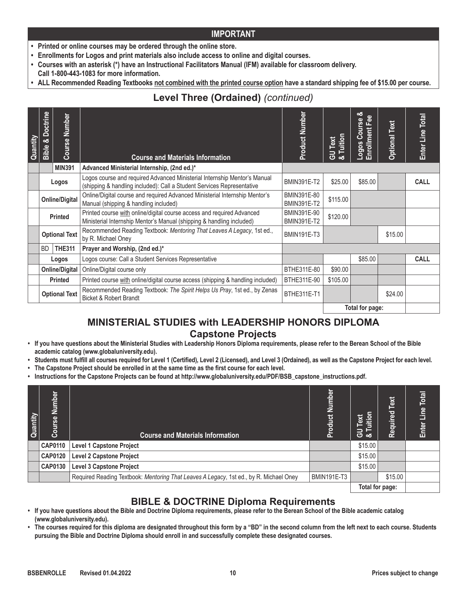- **• Printed or online courses may be ordered through the online store.**
- **• Enrollments for Logos and print materials also include access to online and digital courses.**
- **• Courses with an asterisk (\*) have an Instructional Facilitators Manual (IFM) available for classroom delivery.**
- **Call 1-800-443-1083 for more information.**
- ALL Recommended Reading Textbooks not combined with the printed course option have a standard shipping fee of \$15.00 per course.

# **Level Three (Ordained)** *(continued)*

| Quantity | <b>Bible &amp; Doctrine</b> | Number<br><b>Course</b> | <b>Course and Materials Information</b>                                                                                                             | Product Number                    | GU Text<br>& Tuition | ఱ<br>$\Phi$<br>Logos Course | <b>Optional Text</b> | Total<br>Enter Line |
|----------|-----------------------------|-------------------------|-----------------------------------------------------------------------------------------------------------------------------------------------------|-----------------------------------|----------------------|-----------------------------|----------------------|---------------------|
|          |                             | <b>MIN391</b>           | Advanced Ministerial Internship, (2nd ed.)*                                                                                                         |                                   |                      |                             |                      |                     |
|          |                             | Logos                   | Logos course and required Advanced Ministerial Internship Mentor's Manual<br>(shipping & handling included): Call a Student Services Representative | <b>BMIN391E-T2</b>                | \$25.00              | \$85.00                     |                      | <b>CALL</b>         |
|          | <b>Online/Digital</b>       |                         | Online/Digital course and required Advanced Ministerial Internship Mentor's<br>Manual (shipping & handling included)                                | BMIN391E-80<br><b>BMIN391E-T2</b> | \$115.00             |                             |                      |                     |
|          | <b>Printed</b>              |                         | Printed course with online/digital course access and required Advanced<br>Ministerial Internship Mentor's Manual (shipping & handling included)     | BMIN391E-90<br><b>BMIN391E-T2</b> | \$120.00             |                             |                      |                     |
|          |                             | <b>Optional Text</b>    | Recommended Reading Textbook: Mentoring That Leaves A Legacy, 1st ed.,<br>by R. Michael Oney                                                        | <b>BMIN191E-T3</b>                |                      |                             | \$15.00              |                     |
|          | <b>BD</b>                   | <b>THE311</b>           | Prayer and Worship, (2nd ed.)*                                                                                                                      |                                   |                      |                             |                      |                     |
|          |                             | Logos                   | Logos course: Call a Student Services Representative                                                                                                |                                   |                      | \$85.00                     |                      | <b>CALL</b>         |
|          |                             | <b>Online/Digital</b>   | Online/Digital course only                                                                                                                          | BTHE311E-80                       | \$90.00              |                             |                      |                     |
|          | <b>Printed</b>              |                         | Printed course with online/digital course access (shipping & handling included)                                                                     | BTHE311E-90                       | \$105.00             |                             |                      |                     |
|          |                             | <b>Optional Text</b>    | Recommended Reading Textbook: The Spirit Helps Us Pray, 1st ed., by Zenas<br><b>Bicket &amp; Robert Brandt</b>                                      | BTHE311E-T1                       |                      |                             | \$24.00              |                     |
|          |                             |                         |                                                                                                                                                     |                                   |                      | Total for page:             |                      |                     |

## **MINISTERIAL STUDIES with LEADERSHIP HONORS DIPLOMA Capstone Projects**

- **• If you have questions about the Ministerial Studies with Leadership Honors Diploma requirements, please refer to the Berean School of the Bible academic catalog (www.globaluniversity.edu).**
- **• Students must fulfill all courses required for Level 1 (Certified), Level 2 (Licensed), and Level 3 (Ordained), as well as the Capstone Project for each level.**
- **• The Capstone Project should be enrolled in at the same time as the first course for each level.**
- **• Instructions for the Capstone Projects can be found at http://www.globaluniversity.edu/PDF/BSB\_capstone\_instructions.pdf.**

| Quantity | Number<br>Course | <b>Course and Materials Information</b>                                                | <b>Product Number</b> | uition<br>Text<br>$\frac{1}{8}$ | Text<br>Required | <b>Total</b><br>Line<br>Enter |
|----------|------------------|----------------------------------------------------------------------------------------|-----------------------|---------------------------------|------------------|-------------------------------|
|          | <b>CAP0110</b>   | <b>Level 1 Capstone Project</b>                                                        |                       | \$15.00                         |                  |                               |
|          | <b>CAP0120</b>   | <b>Level 2 Capstone Project</b>                                                        |                       | \$15.00                         |                  |                               |
|          | <b>CAP0130</b>   | <b>Level 3 Capstone Project</b>                                                        |                       | \$15.00                         |                  |                               |
|          |                  | Required Reading Textbook: Mentoring That Leaves A Legacy, 1st ed., by R. Michael Oney | BMIN191E-T3           |                                 | \$15.00          |                               |
|          |                  | Total for page:                                                                        |                       |                                 |                  |                               |

## **BIBLE & DOCTRINE Diploma Requirements**

- **• If you have questions about the Bible and Doctrine Diploma requirements, please refer to the Berean School of the Bible academic catalog (www.globaluniversity.edu).**
- **• The courses required for this diploma are designated throughout this form by a "BD" in the second column from the left next to each course. Students pursuing the Bible and Doctrine Diploma should enroll in and successfully complete these designated courses.**